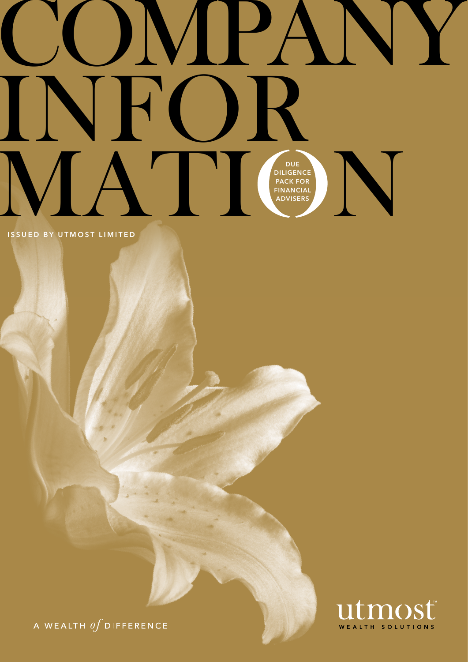# ONPA VFO JK DUE<br>DILIGENCE<br>PACK FOR<br>FINANCIAL<br>ADVISERS

**ISSUED BY UTMOST LIMITED** 



A WEALTH  $\iint$  DIFFERENCE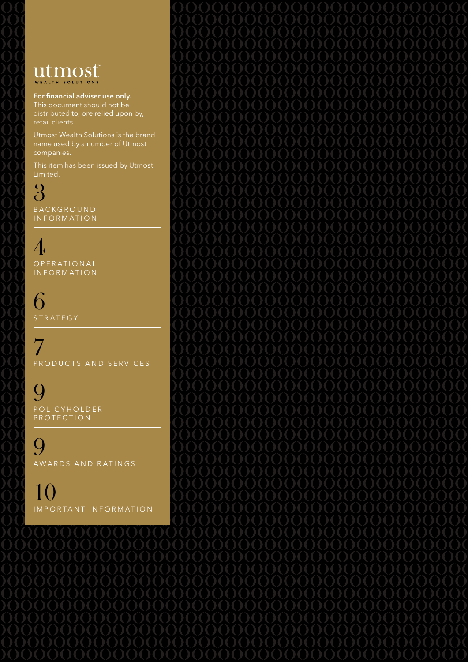### utmost WEALTH SOLUTIONS

For financial adviser use only. This document should not be distributed to, ore relied upon by,

Utmost Wealth Solutions is the brand name used by a number of Utmost companies.

This item has been issued by Utmost

3 **BACKGROUND INFORMATION** 

4 O P E R A T I O N A L INFORMATION

6 STRATEGY

7 PRODUCTS AND SERVICES

**9** P O L I C Y H O L D E R P R O T E C T I O N

**9** AWARDS AND RATINGS

10 I m p o r ta n t I n f o r m at i o n

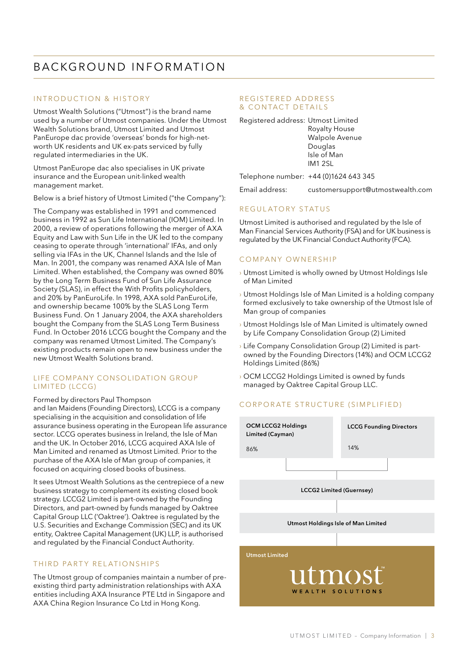### BACKGROUND INFORMATION

### INTRODUCTION & HISTORY

Utmost Wealth Solutions ("Utmost") is the brand name used by a number of Utmost companies. Under the Utmost Wealth Solutions brand, Utmost Limited and Utmost PanEurope dac provide 'overseas' bonds for high-networth UK residents and UK ex-pats serviced by fully regulated intermediaries in the UK.

Utmost PanEurope dac also specialises in UK private insurance and the European unit-linked wealth management market.

Below is a brief history of Utmost Limited ("the Company"):

The Company was established in 1991 and commenced business in 1992 as Sun Life International (IOM) Limited. In 2000, a review of operations following the merger of AXA Equity and Law with Sun Life in the UK led to the company ceasing to operate through 'international' IFAs, and only selling via IFAs in the UK, Channel Islands and the Isle of Man. In 2001, the company was renamed AXA Isle of Man Limited. When established, the Company was owned 80% by the Long Term Business Fund of Sun Life Assurance Society (SLAS), in effect the With Profits policyholders, and 20% by PanEuroLife. In 1998, AXA sold PanEuroLife, and ownership became 100% by the SLAS Long Term Business Fund. On 1 January 2004, the AXA shareholders bought the Company from the SLAS Long Term Business Fund. In October 2016 LCCG bought the Company and the company was renamed Utmost Limited. The Company's existing products remain open to new business under the new Utmost Wealth Solutions brand.

### LIFE COMPANY CONSOLIDATION GROUP LIMITED (LCCG)

#### Formed by directors Paul Thompson

and Ian Maidens (Founding Directors), LCCG is a company specialising in the acquisition and consolidation of life assurance business operating in the European life assurance sector. LCCG operates business in Ireland, the Isle of Man and the UK. In October 2016, LCCG acquired AXA Isle of Man Limited and renamed as Utmost Limited. Prior to the purchase of the AXA Isle of Man group of companies, it focused on acquiring closed books of business.

It sees Utmost Wealth Solutions as the centrepiece of a new business strategy to complement its existing closed book strategy. LCCG2 Limited is part-owned by the Founding Directors, and part-owned by funds managed by Oaktree Capital Group LLC ('Oaktree'). Oaktree is regulated by the U.S. Securities and Exchange Commission (SEC) and its UK entity, Oaktree Capital Management (UK) LLP, is authorised and regulated by the Financial Conduct Authority.

### THIRD PARTY RELATIONSHIPS

The Utmost group of companies maintain a number of preexisting third party administration relationships with AXA entities including AXA Insurance PTE Ltd in Singapore and AXA China Region Insurance Co Ltd in Hong Kong.

#### REGISTERED ADDRESS & CONTACT DETAILS

Registered address: Utmost Limited Royalty House

 Walpole Avenue Douglas Isle of Man IM1 2SL

Telephone number: +44 (0)1624 643 345

Email address: customersupport@utmostwealth.com

### REGULATORY STATUS

Utmost Limited is authorised and regulated by the Isle of Man Financial Services Authority (FSA) and for UK business is regulated by the UK Financial Conduct Authority (FCA).

### COMPANY OWNERSHIP

- › Utmost Limited is wholly owned by Utmost Holdings Isle of Man Limited
- › Utmost Holdings Isle of Man Limited is a holding company formed exclusively to take ownership of the Utmost Isle of Man group of companies
- › Utmost Holdings Isle of Man Limited is ultimately owned by Life Company Consolidation Group (2) Limited
- › Life Company Consolidation Group (2) Limited is partowned by the Founding Directors (14%) and OCM LCCG2 Holdings Limited (86%)
- › OCM LCCG2 Holdings Limited is owned by funds managed by Oaktree Capital Group LLC.

### CORPORATE STRUCTURE (SIMPLIFIED)

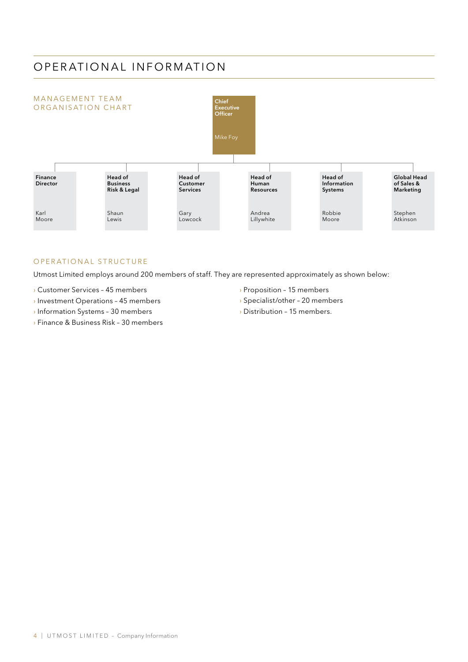### OPERATIONAL INFORMATION



### OPERATIONAL STRUCTURE

Utmost Limited employs around 200 members of staff. They are represented approximately as shown below:

- › Customer Services 45 members
- › Investment Operations 45 members
- › Information Systems 30 members
- › Finance & Business Risk 30 members
- › Proposition 15 members
- › Specialist/other 20 members
- › Distribution 15 members.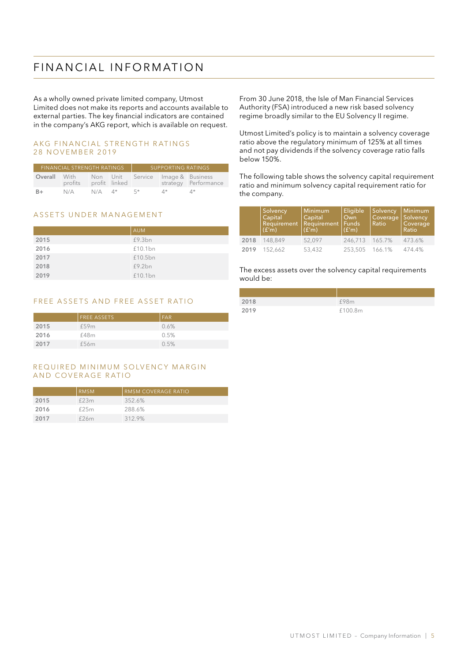### FIN AN CIAL IN FORMATION

As a wholly owned private limited company, Utmost Limited does not make its reports and accounts available to external parties. The key financial indicators are contained in the company's AKG report, which is available on request.

#### AKG FINANCIAL STRENGTH RATINGS 28 NOVEMBER 2019

| FINANCIAL STRENGTH RATINGS |                 |          | SUPPORTING RATINGS |                                   |    |                      |
|----------------------------|-----------------|----------|--------------------|-----------------------------------|----|----------------------|
| Overall                    | With<br>profits |          | profit linked      | Non Unit Service Image & Business |    | strategy Performance |
| B+                         | N/A             | $N/A$ 4* |                    | $5*$                              | 4* | 4*                   |

### ASSETS UNDER MANAGEMENT

|      | <b>AUM</b> |
|------|------------|
| 2015 | £9.3bn     |
| 2016 | £10.1bn    |
| 2017 | £10.5bn    |
| 2018 | £9.2bn     |
| 2019 | £10.1bn    |

### FREE ASSETS AND FREE ASSET RATIO

|      | <b>FREE ASSETS</b> | l FAR |
|------|--------------------|-------|
| 2015 | £59m               | 0.6%  |
| 2016 | £48m               | 0.5%  |
| 2017 | £56m               | 0.5%  |

### REQUIRED MINIMUM SOLVENCY MARGIN AND COVERAGE RATIO

|      | <b>RMSM</b> | <b>RMSM COVERAGE RATIO</b> |
|------|-------------|----------------------------|
| 2015 | £23m        | 352.6%                     |
| 2016 | £25m        | 288.6%                     |
| 2017 | £26m        | 312.9%                     |

From 30 June 2018, the Isle of Man Financial Services Authority (FSA) introduced a new risk based solvency regime broadly similar to the EU Solvency II regime.

Utmost Limited's policy is to maintain a solvency coverage ratio above the regulatory minimum of 125% at all times and not pay dividends if the solvency coverage ratio falls below 150%.

The following table shows the solvency capital requirement ratio and minimum solvency capital requirement ratio for the company.

|      | Solvency<br>Capital<br>Requirement<br> (f'm) | Minimum<br><b>Capital</b><br>Requirement<br>(f'm) | Eligible<br>Own<br><b>Funds</b><br>(f'm) | Solvency<br>Coverage<br>Ratio | Minimum<br>Solvency<br>Coverage<br><b>Ratio</b> |
|------|----------------------------------------------|---------------------------------------------------|------------------------------------------|-------------------------------|-------------------------------------------------|
| 2018 | 148.849                                      | 52.097                                            | 246.713 165.7%                           |                               | 473.6%                                          |
| 2019 | 152.662                                      | 53,432                                            | 253,505                                  | 166.1%                        | 474.4%                                          |

The excess assets over the solvency capital requirements would be:

| 2018 | £98m    |
|------|---------|
| 2019 | £100.8m |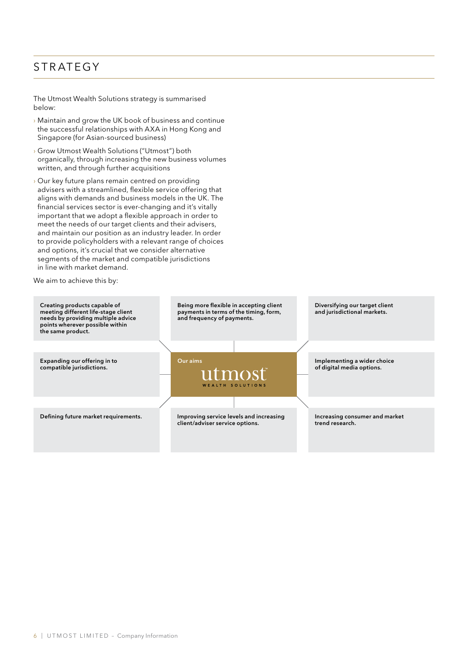### STRATEGY

The Utmost Wealth Solutions strategy is summarised below:

- › Maintain and grow the UK book of business and continue the successful relationships with AXA in Hong Kong and Singapore (for Asian-sourced business)
- › Grow Utmost Wealth Solutions ("Utmost") both organically, through increasing the new business volumes written, and through further acquisitions
- › Our key future plans remain centred on providing advisers with a streamlined, flexible service offering that aligns with demands and business models in the UK. The financial services sector is ever-changing and it's vitally important that we adopt a flexible approach in order to meet the needs of our target clients and their advisers, and maintain our position as an industry leader. In order to provide policyholders with a relevant range of choices and options, it's crucial that we consider alternative segments of the market and compatible jurisdictions in line with market demand.

We aim to achieve this by:

| Creating products capable of<br>meeting different life-stage client<br>needs by providing multiple advice<br>points wherever possible within<br>the same product. | Being more flexible in accepting client<br>payments in terms of the timing, form,<br>and frequency of payments. |  | Diversifying our target client<br>and jurisdictional markets. |
|-------------------------------------------------------------------------------------------------------------------------------------------------------------------|-----------------------------------------------------------------------------------------------------------------|--|---------------------------------------------------------------|
|                                                                                                                                                                   |                                                                                                                 |  |                                                               |
| Expanding our offering in to<br>compatible jurisdictions.                                                                                                         | Our aims<br>utmost<br>WEALTH SOLUTIONS                                                                          |  | Implementing a wider choice<br>of digital media options.      |
|                                                                                                                                                                   |                                                                                                                 |  |                                                               |
| Defining future market requirements.                                                                                                                              | Improving service levels and increasing<br>client/adviser service options.                                      |  | Increasing consumer and market<br>trend research.             |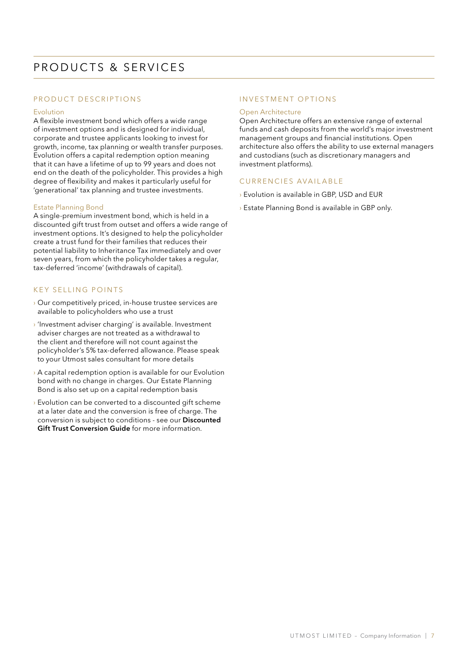### PRODUCT DESCRIPTIONS

### Evolution

A flexible investment bond which offers a wide range of investment options and is designed for individual, corporate and trustee applicants looking to invest for growth, income, tax planning or wealth transfer purposes. Evolution offers a capital redemption option meaning that it can have a lifetime of up to 99 years and does not end on the death of the policyholder. This provides a high degree of flexibility and makes it particularly useful for 'generational' tax planning and trustee investments.

### Estate Planning Bond

A single-premium investment bond, which is held in a discounted gift trust from outset and offers a wide range of investment options. It's designed to help the policyholder create a trust fund for their families that reduces their potential liability to Inheritance Tax immediately and over seven years, from which the policyholder takes a regular, tax-deferred 'income' (withdrawals of capital).

### K E Y S ELLING POINTS

- › Our competitively priced, in-house trustee services are available to policyholders who use a trust
- › 'Investment adviser charging' is available. Investment adviser charges are not treated as a withdrawal to the client and therefore will not count against the policyholder's 5% tax-deferred allowance. Please speak to your Utmost sales consultant for more details
- › A capital redemption option is available for our Evolution bond with no change in charges. Our Estate Planning Bond is also set up on a capital redemption basis
- › Evolution can be converted to a discounted gift scheme at a later date and the conversion is free of charge. The conversion is subject to conditions - see our Discounted Gift Trust Conversion Guide for more information.

### INVESTMENT OPTIONS

### Open Architecture

Open Architecture offers an extensive range of external funds and cash deposits from the world's major investment management groups and financial institutions. Open architecture also offers the ability to use external managers and custodians (such as discretionary managers and investment platforms).

### CURRENCIES AVAILABLE

- › Evolution is available in GBP, USD and EUR
- › Estate Planning Bond is available in GBP only.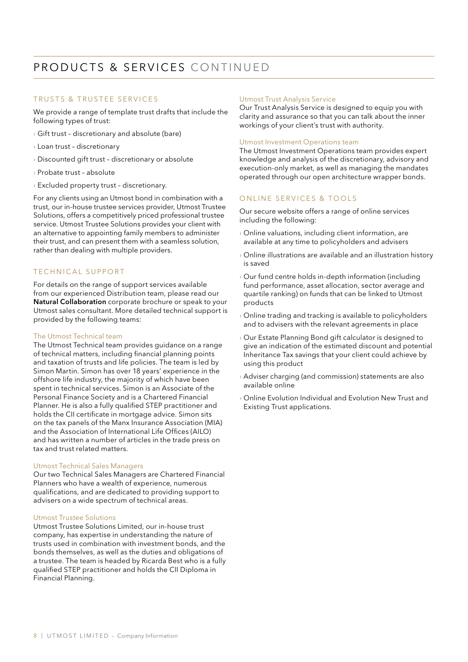### PRODUCTS & SERVICES CONTINUED

### TRUSTS & TRUSTEE SERVICES

We provide a range of template trust drafts that include the following types of trust:

- › Gift trust discretionary and absolute (bare)
- › Loan trust discretionary
- › Discounted gift trust discretionary or absolute
- › Probate trust absolute
- › Excluded property trust discretionary.

For any clients using an Utmost bond in combination with a trust, our in-house trustee services provider, Utmost Trustee Solutions, offers a competitively priced professional trustee service. Utmost Trustee Solutions provides your client with an alternative to appointing family members to administer their trust, and can present them with a seamless solution, rather than dealing with multiple providers.

### TECHNICAL SUPPORT

For details on the range of support services available from our experienced Distribution team, please read our Natural Collaboration corporate brochure or speak to your Utmost sales consultant. More detailed technical support is provided by the following teams:

#### The Utmost Technical team

The Utmost Technical team provides guidance on a range of technical matters, including financial planning points and taxation of trusts and life policies. The team is led by Simon Martin. Simon has over 18 years' experience in the offshore life industry, the majority of which have been spent in technical services. Simon is an Associate of the Personal Finance Society and is a Chartered Financial Planner. He is also a fully qualified STEP practitioner and holds the CII certificate in mortgage advice. Simon sits on the tax panels of the Manx Insurance Association (MIA) and the Association of International Life Offices (AILO) and has written a number of articles in the trade press on tax and trust related matters.

#### Utmost Technical Sales Managers

Our two Technical Sales Managers are Chartered Financial Planners who have a wealth of experience, numerous qualifications, and are dedicated to providing support to advisers on a wide spectrum of technical areas.

### Utmost Trustee Solutions

Utmost Trustee Solutions Limited, our in-house trust company, has expertise in understanding the nature of trusts used in combination with investment bonds, and the bonds themselves, as well as the duties and obligations of a trustee. The team is headed by Ricarda Best who is a fully qualified STEP practitioner and holds the CII Diploma in Financial Planning.

### Utmost Trust Analysis Service

Our Trust Analysis Service is designed to equip you with clarity and assurance so that you can talk about the inner workings of your client's trust with authority.

### Utmost Investment Operations team

The Utmost Investment Operations team provides expert knowledge and analysis of the discretionary, advisory and execution-only market, as well as managing the mandates operated through our open architecture wrapper bonds.

### ONLINE SERVICES & TOOLS

Our secure website offers a range of online services including the following:

- › Online valuations, including client information, are available at any time to policyholders and advisers
- › Online illustrations are available and an illustration history is saved
- › Our fund centre holds in-depth information (including fund performance, asset allocation, sector average and quartile ranking) on funds that can be linked to Utmost products
- › Online trading and tracking is available to policyholders and to advisers with the relevant agreements in place
- › Our Estate Planning Bond gift calculator is designed to give an indication of the estimated discount and potential Inheritance Tax savings that your client could achieve by using this product
- › Adviser charging (and commission) statements are also available online
- › Online Evolution Individual and Evolution New Trust and Existing Trust applications.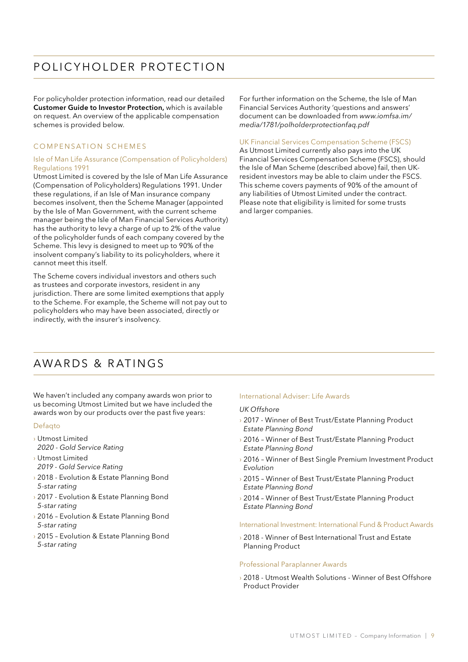### POLICYHOLDER PROTECTION

For policyholder protection information, read our detailed Customer Guide to Investor Protection, which is available on request. An overview of the applicable compensation schemes is provided below.

### COMPENSATION SCHEMES

### Isle of Man Life Assurance (Compensation of Policyholders) Regulations 1991

Utmost Limited is covered by the Isle of Man Life Assurance (Compensation of Policyholders) Regulations 1991. Under these regulations, if an Isle of Man insurance company becomes insolvent, then the Scheme Manager (appointed by the Isle of Man Government, with the current scheme manager being the Isle of Man Financial Services Authority) has the authority to levy a charge of up to 2% of the value of the policyholder funds of each company covered by the Scheme. This levy is designed to meet up to 90% of the insolvent company's liability to its policyholders, where it cannot meet this itself.

The Scheme covers individual investors and others such as trustees and corporate investors, resident in any jurisdiction. There are some limited exemptions that apply to the Scheme. For example, the Scheme will not pay out to policyholders who may have been associated, directly or indirectly, with the insurer's insolvency.

For further information on the Scheme, the Isle of Man Financial Services Authority 'questions and answers' document can be downloaded from *www.iomfsa.im/ media/1781/polholderprotectionfaq.pdf*

### UK Financial Services Compensation Scheme (FSCS)

As Utmost Limited currently also pays into the UK Financial Services Compensation Scheme (FSCS), should the Isle of Man Scheme (described above) fail, then UKresident investors may be able to claim under the FSCS. This scheme covers payments of 90% of the amount of any liabilities of Utmost Limited under the contract. Please note that eligibility is limited for some trusts and larger companies.

### AWARDS & RATINGS

We haven't included any company awards won prior to us becoming Utmost Limited but we have included the awards won by our products over the past five years:

### Defaqto

- › Utmost Limited *2020 - Gold Service Rating*
- › Utmost Limited *2019 - Gold Service Rating*
- › 2018 Evolution & Estate Planning Bond *5-star rating*
- › 2017 Evolution & Estate Planning Bond *5-star rating*
- › 2016 Evolution & Estate Planning Bond *5-star rating*
- › 2015 Evolution & Estate Planning Bond *5-star rating*

#### International Adviser: Life Awards

#### *UK Offshore*

- › 2017 Winner of Best Trust/Estate Planning Product *Estate Planning Bond*
- › 2016 Winner of Best Trust/Estate Planning Product *Estate Planning Bond*
- › 2016 Winner of Best Single Premium Investment Product *Evolution*
- › 2015 Winner of Best Trust/Estate Planning Product *Estate Planning Bond*
- › 2014 Winner of Best Trust/Estate Planning Product *Estate Planning Bond*

#### International Investment: International Fund & Product Awards

› 2018 - Winner of Best International Trust and Estate Planning Product

#### Professional Paraplanner Awards

› 2018 - Utmost Wealth Solutions - Winner of Best Offshore Product Provider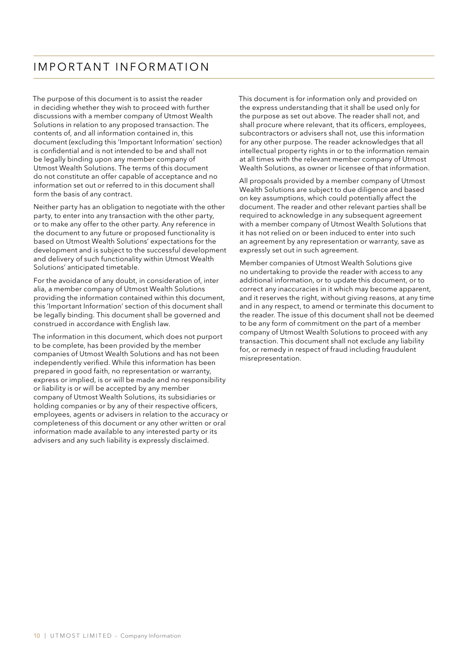### I m p o r ta n t in f o r m at i o n

The purpose of this document is to assist the reader in deciding whether they wish to proceed with further discussions with a member company of Utmost Wealth Solutions in relation to any proposed transaction. The contents of, and all information contained in, this document (excluding this 'Important Information' section) is confidential and is not intended to be and shall not be legally binding upon any member company of Utmost Wealth Solutions. The terms of this document do not constitute an offer capable of acceptance and no information set out or referred to in this document shall form the basis of any contract.

Neither party has an obligation to negotiate with the other party, to enter into any transaction with the other party, or to make any offer to the other party. Any reference in the document to any future or proposed functionality is based on Utmost Wealth Solutions' expectations for the development and is subject to the successful development and delivery of such functionality within Utmost Wealth Solutions' anticipated timetable.

For the avoidance of any doubt, in consideration of, inter alia, a member company of Utmost Wealth Solutions providing the information contained within this document, this 'Important Information' section of this document shall be legally binding. This document shall be governed and construed in accordance with English law.

The information in this document, which does not purport to be complete, has been provided by the member companies of Utmost Wealth Solutions and has not been independently verified. While this information has been prepared in good faith, no representation or warranty, express or implied, is or will be made and no responsibility or liability is or will be accepted by any member company of Utmost Wealth Solutions, its subsidiaries or holding companies or by any of their respective officers, employees, agents or advisers in relation to the accuracy or completeness of this document or any other written or oral information made available to any interested party or its advisers and any such liability is expressly disclaimed.

This document is for information only and provided on the express understanding that it shall be used only for the purpose as set out above. The reader shall not, and shall procure where relevant, that its officers, employees, subcontractors or advisers shall not, use this information for any other purpose. The reader acknowledges that all intellectual property rights in or to the information remain at all times with the relevant member company of Utmost Wealth Solutions, as owner or licensee of that information.

All proposals provided by a member company of Utmost Wealth Solutions are subject to due diligence and based on key assumptions, which could potentially affect the document. The reader and other relevant parties shall be required to acknowledge in any subsequent agreement with a member company of Utmost Wealth Solutions that it has not relied on or been induced to enter into such an agreement by any representation or warranty, save as expressly set out in such agreement.

Member companies of Utmost Wealth Solutions give no undertaking to provide the reader with access to any additional information, or to update this document, or to correct any inaccuracies in it which may become apparent, and it reserves the right, without giving reasons, at any time and in any respect, to amend or terminate this document to the reader. The issue of this document shall not be deemed to be any form of commitment on the part of a member company of Utmost Wealth Solutions to proceed with any transaction. This document shall not exclude any liability for, or remedy in respect of fraud including fraudulent misrepresentation.